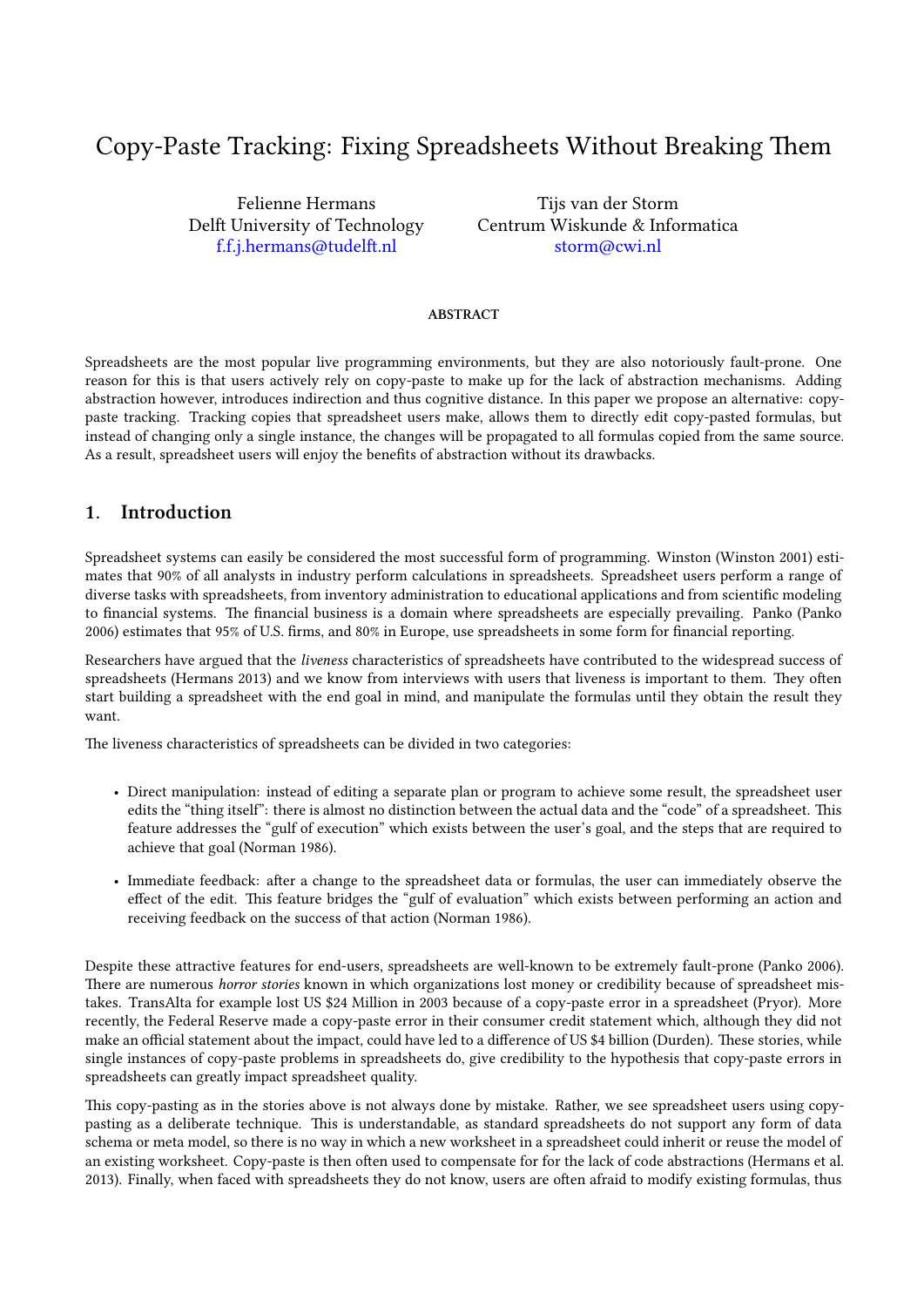# Copy-Paste Tracking: Fixing Spreadsheets Without Breaking Them

Felienne Hermans Delft University of Technology f.f.j.hermans@tudelft.nl

Tijs van der Storm Centrum Wiskunde & Informatica storm@cwi.nl

#### **ABSTRACT**

Spreadsheets are the most popular live programming environments, but they are also notoriously fault-prone. One reason for this is that users actively rely on copy-paste to make up for the lack of abstraction mechanisms. Adding abstraction however, introduces indirection and thus cognitive distance. In this paper we propose an alternative: copypaste tracking. Tracking copies that spreadsheet users make, allows them to directly edit copy-pasted formulas, but instead of changing only a single instance, the changes will be propagated to all formulas copied from the same source. As a result, spreadsheet users will enjoy the benefits of abstraction without its drawbacks.

#### **1. Introduction**

Spreadsheet systems can easily be considered the most successful form of programming. Winston (Winston 2001) estimates that 90% of all analysts in industry perform calculations in spreadsheets. Spreadsheet users perform a range of diverse tasks with spreadsheets, from inventory administration to educational applications and from scientific modeling to financial systems. The financial business is a domain where spreadsheets are especially prevailing. Panko (Panko 2006) estimates that 95% of U.S. firms, and 80% in Europe, use spreadsheets in some form for financial reporting.

Researchers have argued that the *liveness* characteristics of spreadsheets have contributed to the widespread success of spreadsheets (Hermans 2013) and we know from interviews with users that liveness is important to them. They often start building a spreadsheet with the end goal in mind, and manipulate the formulas until they obtain the result they want.

The liveness characteristics of spreadsheets can be divided in two categories:

- Direct manipulation: instead of editing a separate plan or program to achieve some result, the spreadsheet user edits the "thing itself": there is almost no distinction between the actual data and the "code" of a spreadsheet. This feature addresses the "gulf of execution" which exists between the user's goal, and the steps that are required to achieve that goal (Norman 1986).
- Immediate feedback: after a change to the spreadsheet data or formulas, the user can immediately observe the effect of the edit. This feature bridges the "gulf of evaluation" which exists between performing an action and receiving feedback on the success of that action (Norman 1986).

Despite these attractive features for end-users, spreadsheets are well-known to be extremely fault-prone (Panko 2006). There are numerous *horror stories* known in which organizations lost money or credibility because of spreadsheet mistakes. TransAlta for example lost US \$24 Million in 2003 because of a copy-paste error in a spreadsheet (Pryor). More recently, the Federal Reserve made a copy-paste error in their consumer credit statement which, although they did not make an official statement about the impact, could have led to a difference of US \$4 billion (Durden). These stories, while single instances of copy-paste problems in spreadsheets do, give credibility to the hypothesis that copy-paste errors in spreadsheets can greatly impact spreadsheet quality.

This copy-pasting as in the stories above is not always done by mistake. Rather, we see spreadsheet users using copypasting as a deliberate technique. This is understandable, as standard spreadsheets do not support any form of data schema or meta model, so there is no way in which a new worksheet in a spreadsheet could inherit or reuse the model of an existing worksheet. Copy-paste is then often used to compensate for for the lack of code abstractions (Hermans et al. 2013). Finally, when faced with spreadsheets they do not know, users are often afraid to modify existing formulas, thus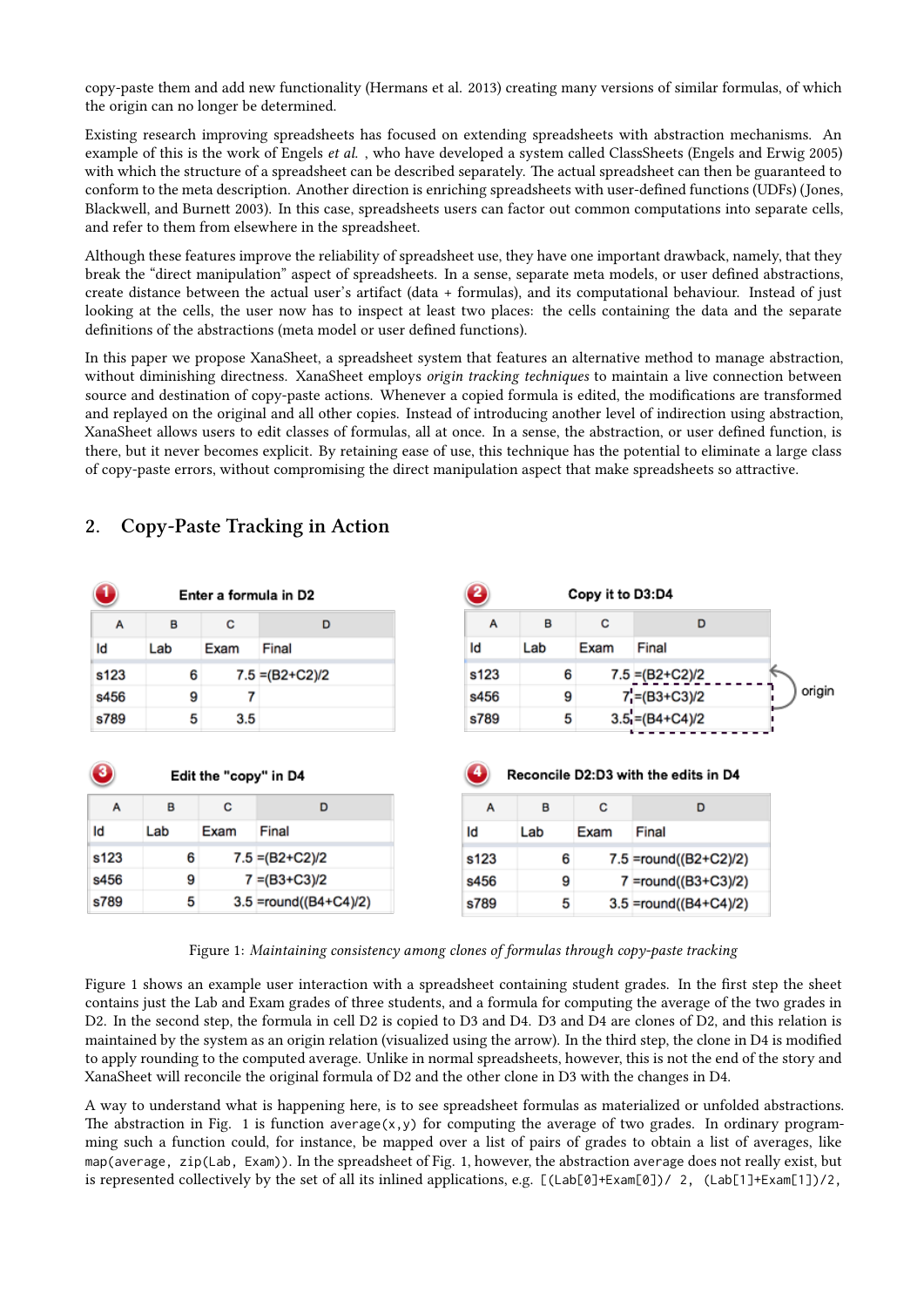copy-paste them and add new functionality (Hermans et al. 2013) creating many versions of similar formulas, of which the origin can no longer be determined.

Existing research improving spreadsheets has focused on extending spreadsheets with abstraction mechanisms. An example of this is the work of Engels *et al.* , who have developed a system called ClassSheets (Engels and Erwig 2005) with which the structure of a spreadsheet can be described separately. The actual spreadsheet can then be guaranteed to conform to the meta description. Another direction is enriching spreadsheets with user-defined functions (UDFs) (Jones, Blackwell, and Burnett 2003). In this case, spreadsheets users can factor out common computations into separate cells, and refer to them from elsewhere in the spreadsheet.

Although these features improve the reliability of spreadsheet use, they have one important drawback, namely, that they break the "direct manipulation" aspect of spreadsheets. In a sense, separate meta models, or user defined abstractions, create distance between the actual user's artifact (data + formulas), and its computational behaviour. Instead of just looking at the cells, the user now has to inspect at least two places: the cells containing the data and the separate definitions of the abstractions (meta model or user defined functions).

In this paper we propose XanaSheet, a spreadsheet system that features an alternative method to manage abstraction, without diminishing directness. XanaSheet employs *origin tracking techniques* to maintain a live connection between source and destination of copy-paste actions. Whenever a copied formula is edited, the modifications are transformed and replayed on the original and all other copies. Instead of introducing another level of indirection using abstraction, XanaSheet allows users to edit classes of formulas, all at once. In a sense, the abstraction, or user defined function, is there, but it never becomes explicit. By retaining ease of use, this technique has the potential to eliminate a large class of copy-paste errors, without compromising the direct manipulation aspect that make spreadsheets so attractive.

|                                 | Enter a formula in D2 |                            |                   | 2                | Copy it to D3:D4 |      |                                      |  |
|---------------------------------|-----------------------|----------------------------|-------------------|------------------|------------------|------|--------------------------------------|--|
| A                               | в                     | c                          | D                 | A                | в                | c    | D                                    |  |
| ld                              | Lab                   | Exam                       | Final             | Id               | Lab              | Exam | Final                                |  |
| s123                            | 6                     |                            | $7.5 = (B2+C2)/2$ | s <sub>123</sub> | 6                |      | $7.5 = (B2+C2)/2$                    |  |
| s456                            | 9                     | 7                          |                   | s456             | 9                |      | $7'$ =(B3+C3)/2                      |  |
|                                 |                       | 3.5                        |                   | s789             | 5                |      | $3.5 = (B4+C4)/2$                    |  |
|                                 | 5                     |                            |                   |                  |                  |      | Reconcile D2:D3 with the edits in D4 |  |
| A                               | B                     | Edit the "copy" in D4<br>c | D                 |                  | B                | c    | D                                    |  |
|                                 | Lab                   | Exam                       | Final             | A<br>Id          | Lab              | Exam | Final                                |  |
|                                 | 6                     |                            | $7.5 = (B2+C2)/2$ | s123             | 6                |      | 7.5 =round((B2+C2)/2)                |  |
| s789<br>3<br>ld<br>s123<br>s456 | 9                     |                            | $7 = (B3 + C3)/2$ | s456             | 9                |      | 7 =round((B3+C3)/2)                  |  |

#### **2.** Copy-Paste Tracking in Action

Figure 1: *Maintaining consistency among clones of formulas through copy-paste tracking*

Figure 1 shows an example user interaction with a spreadsheet containing student grades. In the first step the sheet contains just the Lab and Exam grades of three students, and a formula for computing the average of the two grades in D2. In the second step, the formula in cell D2 is copied to D3 and D4. D3 and D4 are clones of D2, and this relation is maintained by the system as an origin relation (visualized using the arrow). In the third step, the clone in D4 is modified to apply rounding to the computed average. Unlike in normal spreadsheets, however, this is not the end of the story and XanaSheet will reconcile the original formula of D2 and the other clone in D3 with the changes in D4.

A way to understand what is happening here, is to see spreadsheet formulas as materialized or unfolded abstractions. The abstraction in Fig. 1 is function average(x,y) for computing the average of two grades. In ordinary programming such a function could, for instance, be mapped over a list of pairs of grades to obtain a list of averages, like map(average, zip(Lab, Exam)). In the spreadsheet of Fig. 1, however, the abstraction average does not really exist, but is represented collectively by the set of all its inlined applications, e.g.  $[(\text{Lab[0]+Exam[0])/ 2, (\text{Lab[1]+Exam[1])/2},$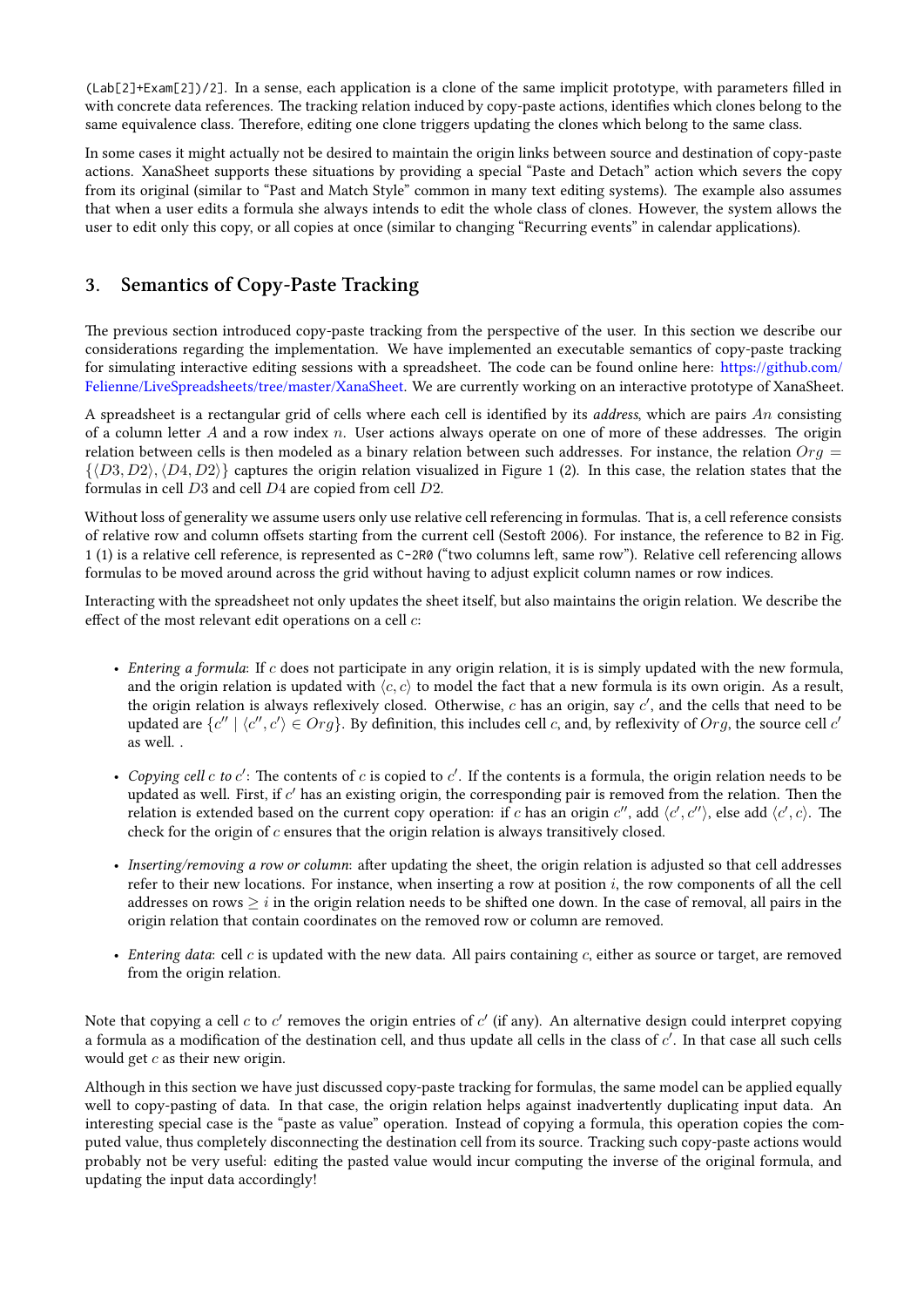(Lab[2]+Exam[2])/2]. In a sense, each application is a clone of the same implicit prototype, with parameters filled in with concrete data references. The tracking relation induced by copy-paste actions, identifies which clones belong to the same equivalence class. Therefore, editing one clone triggers updating the clones which belong to the same class.

In some cases it might actually not be desired to maintain the origin links between source and destination of copy-paste actions. XanaSheet supports these situations by providing a special "Paste and Detach" action which severs the copy from its original (similar to "Past and Match Style" common in many text editing systems). The example also assumes that when a user edits a formula she always intends to edit the whole class of clones. However, the system allows the user to edit only this copy, or all copies at once (similar to changing "Recurring events" in calendar applications).

## **3.** Semantics of Copy-Paste Tracking

The previous section introduced copy-paste tracking from the perspective of the user. In this section we describe our considerations regarding the implementation. We have implemented an executable semantics of copy-paste tracking for simulating interactive editing sessions with a spreadsheet. The code can be found online here: https://github.com/ Felienne/LiveSpreadsheets/tree/master/XanaSheet. We are currently working on an interactive prototype of XanaSheet.

A spreadsheet is a rectangular grid of cells where each cell is identified by its *address*, which are pairs *An* consisting of a column letter *A* and a row index *n*. User actions always operate on one of more of these addresses. The origin [relation between cells is then modeled as a binary](https://github.com/Felienne/LiveSpreadsheets/tree/master/XanaSheet) relation between such addresses. For instance, [the relation](https://github.com/Felienne/LiveSpreadsheets/tree/master/XanaSheet)  $Org =$ *{⟨D*3*, D*2*⟩,⟨D*4*, D*2*⟩}* captures the origin relation visualized in Figure 1 (2). In this case, the relation states that the formulas in cell *D*3 and cell *D*4 are copied from cell *D*2.

Without loss of generality we assume users only use relative cell referencing in formulas. That is, a cell reference consists of relative row and column offsets starting from the current cell (Sestoft 2006). For instance, the reference to B2 in Fig. 1 (1) is a relative cell reference, is represented as C-2R0 ("two columns left, same row"). Relative cell referencing allows formulas to be moved around across the grid without having to adjust explicit column names or row indices.

Interacting with the spreadsheet not only updates the sheet itself, but also maintains the origin relation. We describe the effect of the most relevant edit operations on a cell *c*:

- *Entering a formula*: If *c* does not participate in any origin relation, it is is simply updated with the new formula, and the origin relation is updated with  $\langle c, c \rangle$  to model the fact that a new formula is its own origin. As a result, the origin relation is always reflexively closed. Otherwise, *c* has an origin, say *c ′* , and the cells that need to be updated are  $\{c''\mid \langle c'',c'\rangle \in Org\}$ . By definition, this includes cell c, and, by reflexivity of  $Org$ , the source cell  $c'$ as well. .
- *Copying cell*  $c$  *to*  $c'$ : The contents of  $c$  is copied to  $c'$ . If the contents is a formula, the origin relation needs to be updated as well. First, if c' has an existing origin, the corresponding pair is removed from the relation. Then the relation is extended based on the current copy operation: if *c* has an origin  $c''$ , add  $\langle c', c'' \rangle$ , else add  $\langle c', c \rangle$ . The check for the origin of *c* ensures that the origin relation is always transitively closed.
- *Inserting/removing a row or column*: after updating the sheet, the origin relation is adjusted so that cell addresses refer to their new locations. For instance, when inserting a row at position *i*, the row components of all the cell addresses on rows  $\geq i$  in the origin relation needs to be shifted one down. In the case of removal, all pairs in the origin relation that contain coordinates on the removed row or column are removed.
- *Entering data*: cell *c* is updated with the new data. All pairs containing *c*, either as source or target, are removed from the origin relation.

Note that copying a cell *c* to *c'* removes the origin entries of *c'* (if any). An alternative design could interpret copying a formula as a modification of the destination cell, and thus update all cells in the class of *c ′* . In that case all such cells would get *c* as their new origin.

Although in this section we have just discussed copy-paste tracking for formulas, the same model can be applied equally well to copy-pasting of data. In that case, the origin relation helps against inadvertently duplicating input data. An interesting special case is the "paste as value" operation. Instead of copying a formula, this operation copies the computed value, thus completely disconnecting the destination cell from its source. Tracking such copy-paste actions would probably not be very useful: editing the pasted value would incur computing the inverse of the original formula, and updating the input data accordingly!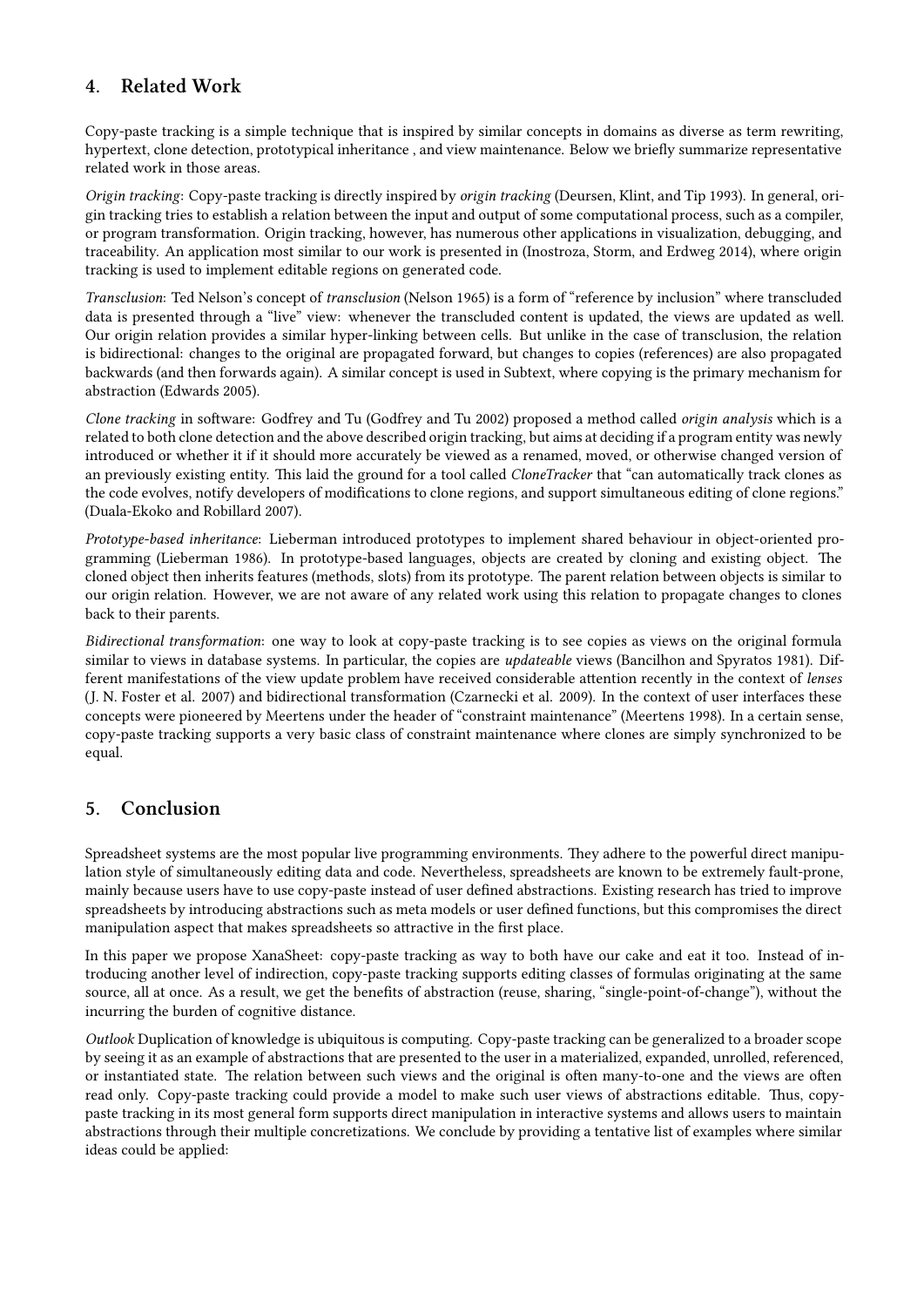# **4. Related Work**

Copy-paste tracking is a simple technique that is inspired by similar concepts in domains as diverse as term rewriting, hypertext, clone detection, prototypical inheritance , and view maintenance. Below we briefly summarize representative related work in those areas.

*Origin tracking*: Copy-paste tracking is directly inspired by *origin tracking* (Deursen, Klint, and Tip 1993). In general, origin tracking tries to establish a relation between the input and output of some computational process, such as a compiler, or program transformation. Origin tracking, however, has numerous other applications in visualization, debugging, and traceability. An application most similar to our work is presented in (Inostroza, Storm, and Erdweg 2014), where origin tracking is used to implement editable regions on generated code.

*Transclusion*: Ted Nelson's concept of *transclusion* (Nelson 1965) is a form of "reference by inclusion" where transcluded data is presented through a "live" view: whenever the transcluded content is updated, the views are updated as well. Our origin relation provides a similar hyper-linking between cells. But unlike in the case of transclusion, the relation is bidirectional: changes to the original are propagated forward, but changes to copies (references) are also propagated backwards (and then forwards again). A similar concept is used in Subtext, where copying is the primary mechanism for abstraction (Edwards 2005).

*Clone tracking* in software: Godfrey and Tu (Godfrey and Tu 2002) proposed a method called *origin analysis* which is a related to both clone detection and the above described origin tracking, but aims at deciding if a program entity was newly introduced or whether it if it should more accurately be viewed as a renamed, moved, or otherwise changed version of an previously existing entity. This laid the ground for a tool called *CloneTracker* that "can automatically track clones as the code evolves, notify developers of modifications to clone regions, and support simultaneous editing of clone regions." (Duala-Ekoko and Robillard 2007).

*Prototype-based inheritance*: Lieberman introduced prototypes to implement shared behaviour in object-oriented programming (Lieberman 1986). In prototype-based languages, objects are created by cloning and existing object. The cloned object then inherits features (methods, slots) from its prototype. The parent relation between objects is similar to our origin relation. However, we are not aware of any related work using this relation to propagate changes to clones back to their parents.

*Bidirectional transformation*: one way to look at copy-paste tracking is to see copies as views on the original formula similar to views in database systems. In particular, the copies are *updateable* views (Bancilhon and Spyratos 1981). Different manifestations of the view update problem have received considerable attention recently in the context of *lenses* (J. N. Foster et al. 2007) and bidirectional transformation (Czarnecki et al. 2009). In the context of user interfaces these concepts were pioneered by Meertens under the header of "constraint maintenance" (Meertens 1998). In a certain sense, copy-paste tracking supports a very basic class of constraint maintenance where clones are simply synchronized to be equal.

## **5. Conclusion**

Spreadsheet systems are the most popular live programming environments. They adhere to the powerful direct manipulation style of simultaneously editing data and code. Nevertheless, spreadsheets are known to be extremely fault-prone, mainly because users have to use copy-paste instead of user defined abstractions. Existing research has tried to improve spreadsheets by introducing abstractions such as meta models or user defined functions, but this compromises the direct manipulation aspect that makes spreadsheets so attractive in the first place.

In this paper we propose XanaSheet: copy-paste tracking as way to both have our cake and eat it too. Instead of introducing another level of indirection, copy-paste tracking supports editing classes of formulas originating at the same source, all at once. As a result, we get the benefits of abstraction (reuse, sharing, "single-point-of-change"), without the incurring the burden of cognitive distance.

*Outlook* Duplication of knowledge is ubiquitous is computing. Copy-paste tracking can be generalized to a broader scope by seeing it as an example of abstractions that are presented to the user in a materialized, expanded, unrolled, referenced, or instantiated state. The relation between such views and the original is often many-to-one and the views are often read only. Copy-paste tracking could provide a model to make such user views of abstractions editable. Thus, copypaste tracking in its most general form supports direct manipulation in interactive systems and allows users to maintain abstractions through their multiple concretizations. We conclude by providing a tentative list of examples where similar ideas could be applied: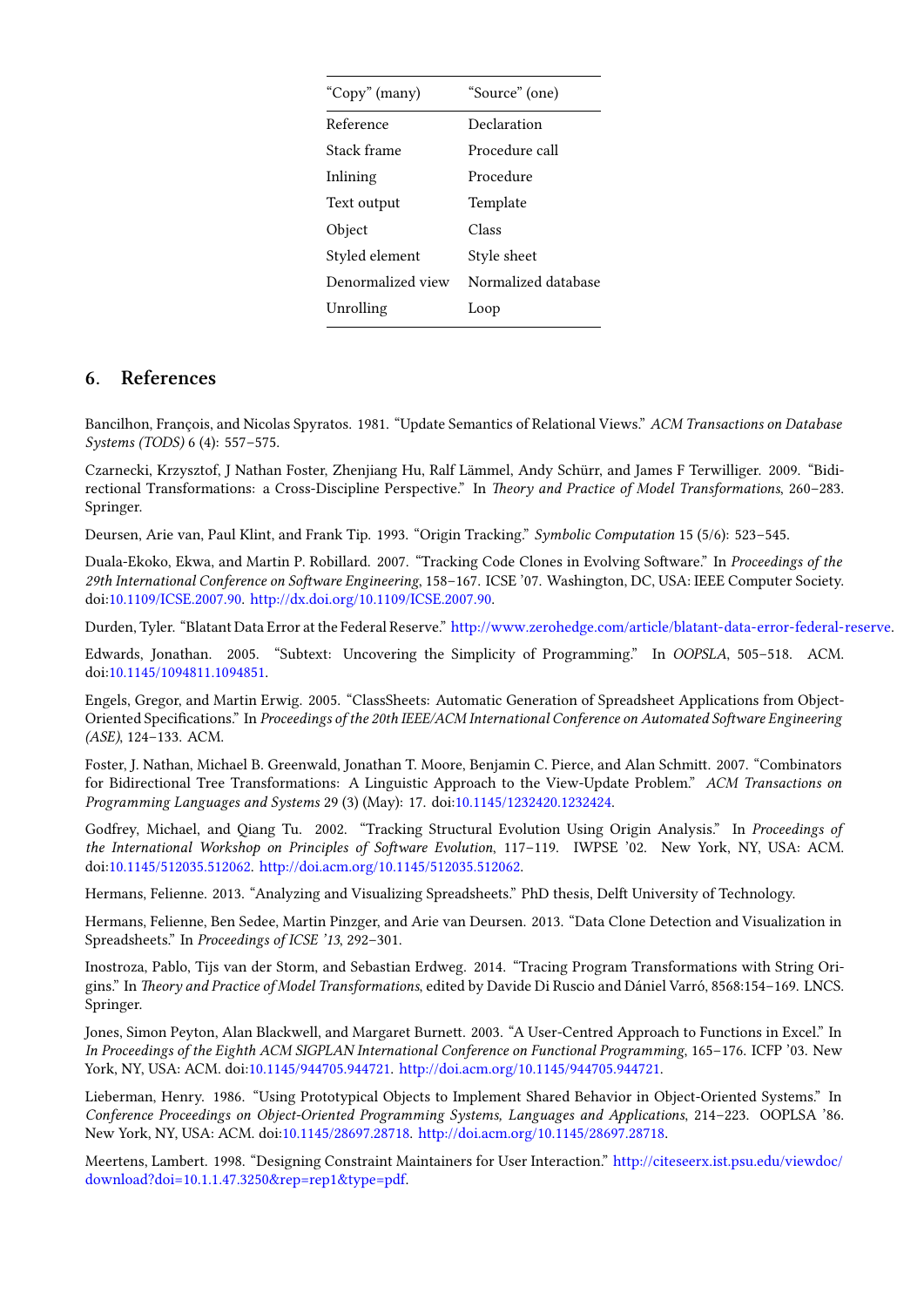| "Copy" (many)     | "Source" (one)      |  |  |  |
|-------------------|---------------------|--|--|--|
| Reference         | Declaration         |  |  |  |
| Stack frame       | Procedure call      |  |  |  |
| Inlining          | Procedure           |  |  |  |
| Text output       | Template            |  |  |  |
| Object            | Class               |  |  |  |
| Styled element    | Style sheet         |  |  |  |
| Denormalized view | Normalized database |  |  |  |
| Unrolling         | Loop                |  |  |  |
|                   |                     |  |  |  |

#### **6. References**

Bancilhon, François, and Nicolas Spyratos. 1981. "Update Semantics of Relational Views." *ACM Transactions on Database Systems (TODS)* 6 (4): 557–575.

Czarnecki, Krzysztof, J Nathan Foster, Zhenjiang Hu, Ralf Lämmel, Andy Schürr, and James F Terwilliger. 2009. "Bidirectional Transformations: a Cross-Discipline Perspective." In *Theory and Practice of Model Transformations*, 260-283. Springer.

Deursen, Arie van, Paul Klint, and Frank Tip. 1993. "Origin Tracking." *Symbolic Computation* 15 (5/6): 523–545.

Duala-Ekoko, Ekwa, and Martin P. Robillard. 2007. "Tracking Code Clones in Evolving Software." In *Proceedings of the* 29th International Conference on Software Engineering, 158-167. ICSE '07. Washington, DC, USA: IEEE Computer Society. doi:10.1109/ICSE.2007.90. http://dx.doi.org/10.1109/ICSE.2007.90.

Durden, Tyler. "Blatant Data Error at the Federal Reserve." http://www.zerohedge.com/article/blatant-data-error-federal-reserve.

Edwards, Jonathan. 2005. "Subtext: Uncovering the Simplicity of Programming." In *OOPSLA*, 505–518. ACM. doi[:10.1145/1094811.1094851.](http://dx.doi.org/10.1109/ICSE.2007.90)

Engels, Gregor, and Martin Erwig. 2005. "ClassSheets: A[utomatic Generation of Spreadsheet Applications from Object-](http://www.zerohedge.com/article/blatant-data-error-federal-reserve)Oriented Specifications." In *Proceedings of the 20th IEEE/ACM International Conference on Automated Software Engineering (ASE)*[, 124–133. ACM.](http://dx.doi.org/10.1145/1094811.1094851)

Foster, J. Nathan, Michael B. Greenwald, Jonathan T. Moore, Benjamin C. Pierce, and Alan Schmitt. 2007. "Combinators for Bidirectional Tree Transformations: A Linguistic Approach to the View-Update Problem." *ACM Transactions on Programming Languages and Systems* 29 (3) (May): 17. doi:10.1145/1232420.1232424.

Godfrey, Michael, and Qiang Tu. 2002. "Tracking Structural Evolution Using Origin Analysis." In *Proceedings of the International Workshop on Principles of Software Evolution*, 117-119. IWPSE '02. New York, NY, USA: ACM. doi:10.1145/512035.512062. http://doi.acm.org/10.1145/512[035.512062.](http://dx.doi.org/10.1145/1232420.1232424)

Hermans, Felienne. 2013. "Analyzing and Visualizing Spreadsheets." PhD thesis, Delft University of Technology.

Hermans, Felienne, Ben Sedee, Martin Pinzger, and Arie van Deursen. 2013. "Data Clone Detection and Visualization in Spr[eadsheets." In](http://dx.doi.org/10.1145/512035.512062) *Proceedin[gs of ICSE '13](http://doi.acm.org/10.1145/512035.512062)*, 292–301.

Inostroza, Pablo, Tijs van der Storm, and Sebastian Erdweg. 2014. "Tracing Program Transformations with String Origins." In *Theory and Practice of Model Transformations*, edited by Davide Di Ruscio and Dániel Varró, 8568:154-169. LNCS. Springer.

Jones, Simon Peyton, Alan Blackwell, and Margaret Burnett. 2003. "A User-Centred Approach to Functions in Excel." In *In Proceedings of the Eighth ACM SIGPLAN International Conference on Functional Programming*, 165–176. ICFP '03. New York, NY, USA: ACM. doi:10.1145/944705.944721. http://doi.acm.org/10.1145/944705.944721.

Lieberman, Henry. 1986. "Using Prototypical Objects to Implement Shared Behavior in Object-Oriented Systems." In *Conference Proceedings on Object-Oriented Programming Systems, Languages and Applications*, 214–223. OOPLSA '86. New York, NY, USA: AC[M. doi:10.1145/28697.287](http://dx.doi.org/10.1145/944705.944721)18. [http://doi.acm.org/10.1145/28697.28718](http://doi.acm.org/10.1145/944705.944721).

Meertens, Lambert. 1998. "Designing Constraint Maintainers for User Interaction." http://citeseerx.ist.psu.edu/viewdoc/ download?doi=10.1.1.47.3250&rep=rep1&type=pdf.